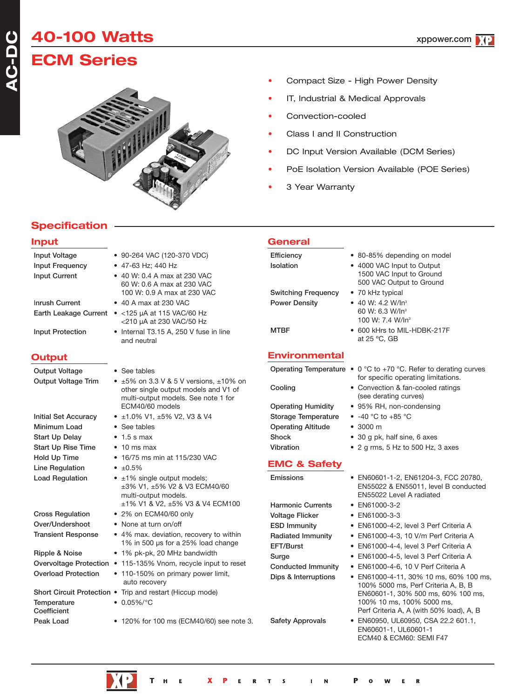# **40-100 Watts**

# **ECM Series**



- Compact Size High Power Density
- IT, Industrial & Medical Approvals
- Convection-cooled
- Class I and II Construction
- DC Input Version Available (DCM Series)
- PoE Isolation Version Available (POE Series)
- 3 Year Warranty

# **Specification**

### **Input Input Voltage** • 90-264 VAC (120-370 VDC) **Input Frequency** • 47-63 Hz; 440 Hz **Input Current** • 40 W: 0.4 A max at 230 VAC 60 W: 0.6 A max at 230 VAC 100 W: 0.9 A max at 230 VAC I**nrush Current** • 40 A max at 230 VAC **Earth Leakage Current** • <125 µA at 115 VAC/60 Hz <210 µA at 230 VAC/50 Hz **Input Protection** • Internal T3.15 A, 250 V fuse in line and neutral **Output Output Voltage • See tables Output Voltage Trim** • ±5% on 3.3 V & 5 V versions, ±10% on other single output models and V1 of multi-output models. See note 1 for ECM40/60 models **Initial Set Accuracy** • ±1.0% V1, ±5% V2, V3 & V4 **Minimum Load** • See tables **Start Up Delay** • 1.5 s max **Start Up Rise Time** • 10 ms max **Hold Up Time** • 16/75 ms min at 115/230 VAC Line Regulation • ±0.5% Load Regulation • ±1% single output models; ±3% V1, ±5% V2 & V3 ECM40/60 multi-output models. ±1% V1 & V2, ±5% V3 & V4 ECM100 **Cross Regulation** • 2% on ECM40/60 only **Over/Undershoot** • None at turn on/off **Transient Response** • 4% max. deviation, recovery to within 1% in 500 µs for a 25% load change **Ripple & Noise** • 1% pk-pk, 20 MHz bandwidth **Overvoltage Protection** • 115-135% Vnom, recycle input to reset **Overload Protection** • 110-150% on primary power limit, auto recovery **Short Circuit Protection** • Trip and restart (Hiccup mode) **Temperature** • 0.05%/°C **Coefficient Peak Load** • 120% for 100 ms (ECM40/60) see note 3.

| <b>General</b>                                     |                                                                                                                   |
|----------------------------------------------------|-------------------------------------------------------------------------------------------------------------------|
| Efficiency<br>Isolation                            | • 80-85% depending on model<br>• 4000 VAC Input to Output<br>1500 VAC Input to Ground<br>500 VAC Output to Ground |
| <b>Switching Frequency</b><br><b>Power Density</b> | • 70 kHz typical<br>• 40 W: 4.2 W/ln <sup>3</sup><br>60 W: 6.3 W/In <sup>3</sup><br>100 W: 7.4 W/In <sup>3</sup>  |
| <b>MTBF</b>                                        | • 600 kHrs to MIL-HDBK-217F<br>at 25 °C. GB                                                                       |
| <b>Environmental</b>                               |                                                                                                                   |
|                                                    | Operating Temperature $\bullet$ 0 °C to +70 °C. Refer to derating curves                                          |

- for specific operating limitations. **Cooling** • Convection & fan-cooled ratings (see derating curves)
- **Operating Humidity** 95% RH, non-condensing
- **Storage Temperature** -40 °C to +85 °C
- **Operating Altitude** 3000 m
- **Shock** 30 g pk, half sine, 6 axes
- **Vibration** 2 g rms, 5 Hz to 500 Hz, 3 axes

```
EMC & Safety
```
**Emissions** • EN60601-1-2, EN61204-3, FCC 20780, **Harmonic Currents** • EN61000-3-2 **Voltage Flicker** • EN61000-3-3

EN55022 Level A radiated

EN55022 & EN55011, level B conducted

- **ESD Immunity** EN61000-4-2, level 3 Perf Criteria A
- **Radiated Immunity** EN61000-4-3, 10 V/m Perf Criteria A
- **EFT/Burst** EN61000-4-4, level 3 Perf Criteria A
- **Surge** EN61000-4-5, level 3 Perf Criteria A
- **Conducted Immunity** EN61000-4-6, 10 V Perf Criteria A
- **Dips & Interruptions** EN61000-4-11, 30% 10 ms, 60% 100 ms, 100% 5000 ms, Perf Criteria A, B, B EN60601-1, 30% 500 ms, 60% 100 ms, 100% 10 ms, 100% 5000 ms, Perf Criteria A, A (with 50% load), A, B
- **Safety Approvals** EN60950, UL60950, CSA 22.2 601.1, EN60601-1, UL60601-1 ECM40 & ECM60: SEMI F47

R

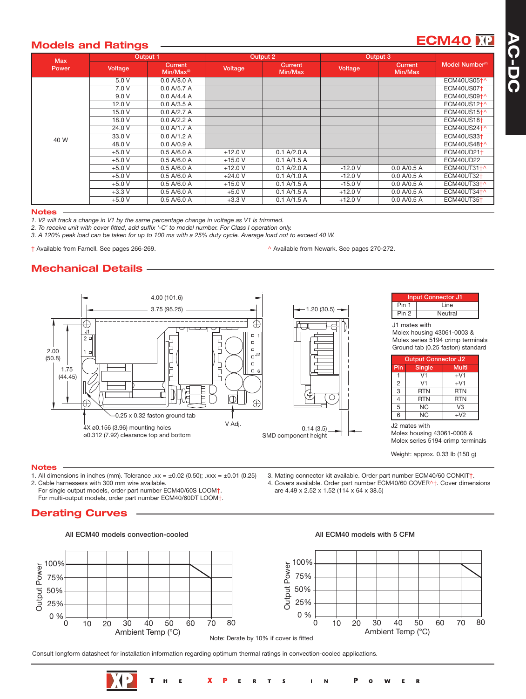# **Models and Ratings ECM40**

| <b>Max</b> | Output 1 |                            |           | Output 2                  |          | Output 3           |                             |
|------------|----------|----------------------------|-----------|---------------------------|----------|--------------------|-----------------------------|
| Power      | Voltage  | Current<br>$Min/Max^{(3)}$ | Voltage   | <b>Current</b><br>Min/Max | Voltage  | Current<br>Min/Max | Model Number <sup>(2)</sup> |
|            | 5.0 V    | 0.0 A/8.0 A                |           |                           |          |                    | ECM40US05 <sup>+</sup> ^    |
|            | 7.0 V    | 0.0 A/5.7 A                |           |                           |          |                    | ECM40US07 <sup>+</sup>      |
|            | 9.0V     | 0.0 A/4.4 A                |           |                           |          |                    | ECM40US09+^                 |
|            | 12.0 V   | 0.0 A/3.5 A                |           |                           |          |                    | ECM40US12 <sup>+^</sup>     |
|            | 15.0 V   | 0.0 A/2.7 A                |           |                           |          |                    | ECM40US15 <sup>+^</sup>     |
|            | 18.0 V   | 0.0 A/2.2 A                |           |                           |          |                    | ECM40US18 <sup>+</sup>      |
|            | 24.0 V   | 0.0 A/1.7 A                |           |                           |          |                    | ECM40US24 <sup>+^</sup>     |
| 40 W       | 33.0 V   | 0.0 A/1.2 A                |           |                           |          |                    | ECM40US33 <sup>+</sup>      |
|            | 48.0 V   | 0.0 A/0.9 A                |           |                           |          |                    | ECM40US48+^                 |
|            | $+5.0 V$ | 0.5 A/6.0 A                | $+12.0V$  | 0.1 A/2.0 A               |          |                    | <b>ECM40UD211</b>           |
|            | $+5.0 V$ | 0.5 A/6.0 A                | $+15.0$ V | 0.1 A/1.5 A               |          |                    | ECM40UD22                   |
|            | $+5.0 V$ | 0.5 A/6.0 A                | $+12.0V$  | 0.1 A/2.0 A               | $-12.0V$ | 0.0 A/0.5 A        | ECM40UT31+^                 |
|            | $+5.0 V$ | 0.5 A/6.0 A                | $+24.0 V$ | 0.1 A/1.0 A               | $-12.0V$ | 0.0 A/0.5 A        | <b>ECM40UT32+</b>           |
|            | $+5.0 V$ | 0.5 A/6.0 A                | $+15.0V$  | 0.1 A/1.5 A               | $-15.0V$ | 0.0 A/0.5 A        | ECM40UT33+^                 |
|            | $+3.3V$  | 0.5 A/6.0 A                | $+5.0V$   | 0.1 A/1.5 A               | $+12.0V$ | 0.0 A/0.5 A        | ECM40UT34+^                 |
|            | $+5.0 V$ | 0.5 A/6.0 A                | $+3.3$ V  | 0.1 A/1.5 A               | $+12.0V$ | 0.0 A/0.5 A        | <b>ECM40UT35+</b>           |

#### **Notes**

*1. V2 will track a change in V1 by the same percentage change in voltage as V1 is trimmed.*

*2. To receive unit with cover fitted, add suffix '-C' to model number. For Class I operation only.*

*3. A 120% peak load can be taken for up to 100 ms with a 25% duty cycle. Average load not to exceed 40 W.*

† Available from Farnell. See pages 266-269. ^ Available from Newark. See pages 270-272.

# **Mechanical Details**



Weight: approx. 0.33 lb (150 g)

#### **Notes**

- 1. All dimensions in inches (mm). Tolerance  $xx = \pm 0.02$  (0.50);  $xxx = \pm 0.01$  (0.25) 2. Cable harnessess with 300 mm wire available.
	- For single output models, order part number ECM40/60S LOOM†.
	- For multi-output models, order part number ECM40/60DT LOOM†.

# **Derating Curves**



### **All ECM40 models convection-cooled All ECM40 models with 5 CFM**

3. Mating connector kit available. Order part number ECM40/60 CONKIT†. 4. Covers available. Order part number ECM40/60 COVER^†. Cover dimensions

are 4.49 x 2.52 x 1.52 (114 x 64 x 38.5)



R

Consult longform datasheet for installation information regarding optimum thermal ratings in convection-cooled applications.

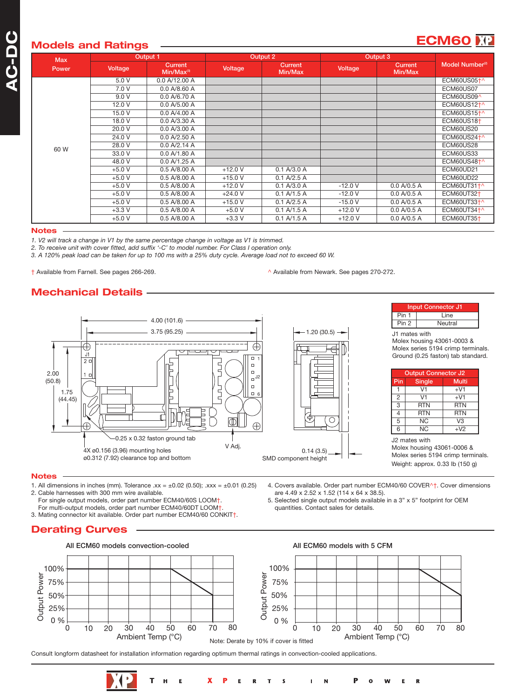| <b>Max</b> | Output 1 |                                   | Output 2  |                    | Output 3 |                           |                             |
|------------|----------|-----------------------------------|-----------|--------------------|----------|---------------------------|-----------------------------|
| Power      | Voltage  | <b>Current</b><br>$Min/Max^{(3)}$ | Voltage   | Current<br>Min/Max | Voltage  | <b>Current</b><br>Min/Max | Model Number <sup>(2)</sup> |
|            | 5.0 V    | 0.0 A/12.00 A                     |           |                    |          |                           | ECM60US05+^                 |
|            | 7.0V     | 0.0 A/8.60 A                      |           |                    |          |                           | ECM60US07                   |
|            | 9.0 V    | 0.0 A/6.70 A                      |           |                    |          |                           | ECM60US09^                  |
|            | 12.0 V   | 0.0 A/5.00 A                      |           |                    |          |                           | ECM60US12 <sup>+^</sup>     |
|            | 15.0 V   | 0.0 A/4.00 A                      |           |                    |          |                           | ECM60US15 <sup>+</sup> ^    |
|            | 18.0 V   | 0.0 A/3.30 A                      |           |                    |          |                           | ECM60US18 <sup>+</sup>      |
|            | 20.0 V   | 0.0 A/3.00 A                      |           |                    |          |                           | ECM60US20                   |
|            | 24.0 V   | 0.0 A/2.50 A                      |           |                    |          |                           | ECM60US24 <sup>+^</sup>     |
| 60 W       | 28.0 V   | 0.0 A/2.14 A                      |           |                    |          |                           | ECM60US28                   |
|            | 33.0 V   | 0.0 A/1.80 A                      |           |                    |          |                           | ECM60US33                   |
|            | 48.0 V   | 0.0 A/1.25 A                      |           |                    |          |                           | ECM60US48 <sup>+</sup> ^    |
|            | $+5.0V$  | 0.5 A/8.00 A                      | $+12.0V$  | 0.1 A/3.0 A        |          |                           | ECM60UD21                   |
|            | $+5.0V$  | 0.5 A/8.00 A                      | $+15.0V$  | 0.1 A/2.5 A        |          |                           | ECM60UD22                   |
|            | $+5.0V$  | 0.5 A/8.00 A                      | $+12.0V$  | 0.1 A/3.0 A        | $-12.0V$ | 0.0 A/0.5 A               | ECM60UT31+^                 |
|            | $+5.0V$  | 0.5 A/8.00 A                      | $+24.0 V$ | 0.1 A/1.5 A        | $-12.0V$ | 0.0 A/0.5 A               | ECM60UT32 <sup>+</sup>      |
|            | $+5.0V$  | 0.5 A/8.00 A                      | $+15.0V$  | 0.1 A/2.5 A        | $-15.0V$ | 0.0 A/0.5 A               | ECM60UT33+^                 |
|            | $+3.3V$  | 0.5 A/8.00 A                      | $+5.0 V$  | 0.1 A/1.5 A        | $+12.0V$ | 0.0 A/0.5 A               | ECM60UT34+^                 |
|            | $+5.0 V$ | 0.5 A/8.00 A                      | $+3.3$ V  | 0.1 A/1.5 A        | $+12.0V$ | 0.0 A/0.5 A               | <b>ECM60UT35+</b>           |

#### **Notes**

*1. V2 will track a change in V1 by the same percentage change in voltage as V1 is trimmed.*

*2. To receive unit with cover fitted, add suffix '-C' to model number. For Class I operation only.*

*3. A 120% peak load can be taken for up to 100 ms with a 25% duty cycle. Average load not to exceed 60 W.*

† Available from Farnell. See pages 266-269. ^ Available from Newark. See pages 270-272.

are 4.49 x 2.52 x 1.52 (114 x 64 x 38.5).

quantities. Contact sales for details.

4. Covers available. Order part number ECM40/60 COVER^†. Cover dimensions

R

5. Selected single output models available in a 3" x 5" footprint for OEM

# **Mechanical Details**



#### **Notes**

- 1. All dimensions in inches (mm). Tolerance  $.xx = \pm 0.02$  (0.50);  $.xxx = \pm 0.01$  (0.25) 2. Cable harnesses with 300 mm wire available.
	- For single output models, order part number ECM40/60S LOOM†.
	- For multi-output models, order part number ECM40/60DT LOOM+
- 3. Mating connector kit available. Order part number ECM40/60 CONKIT†.

# **Derating Curves**



Consult longform datasheet for installation information regarding optimum thermal ratings in convection-cooled applications.

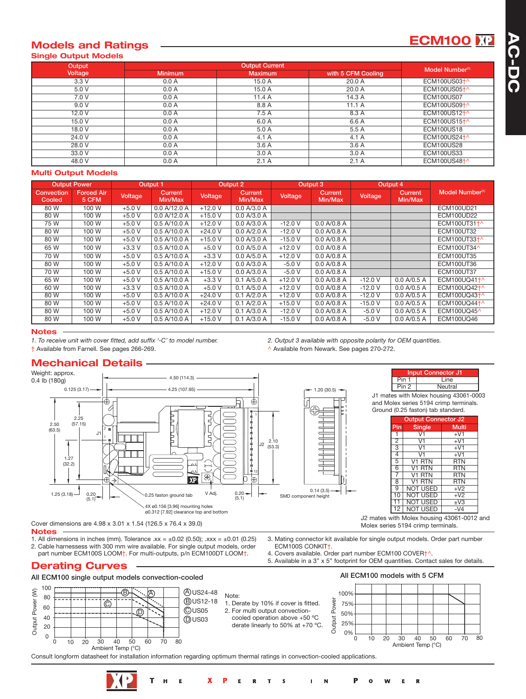# **Models and Ratings ECM100 Single Output Models**

| Output  |                | <b>Output Current</b> |                    |                             |  |  |  |  |
|---------|----------------|-----------------------|--------------------|-----------------------------|--|--|--|--|
| Voltage | <b>Minimum</b> | <b>Maximum</b>        | with 5 CFM Cooling | Model Number <sup>(1)</sup> |  |  |  |  |
| 3.3V    | 0.0 A          | 15.0 A                | 20.0A              | ECM100US03 <sup>+^</sup>    |  |  |  |  |
| 5.0 V   | 0.0 A          | 15.0 A                | 20.0 A             | ECM100US05 <sup>+</sup> ^   |  |  |  |  |
| 7.0 V   | 0.0 A          | 11.4A                 | 14.3 A             | <b>ECM100US07</b>           |  |  |  |  |
| 9.0 V   | 0.0 A          | 8.8 A                 | 11.1A              | ECM100US09 <sup>+^</sup>    |  |  |  |  |
| 12.0V   | 0.0 A          | 7.5A                  | 8.3 A              | ECM100US12 <sup>+^</sup>    |  |  |  |  |
| 15.0 V  | 0.0 A          | 6.0 A                 | 6.6 A              | ECM100US15 <sup>+^</sup>    |  |  |  |  |
| 18.0 V  | 0.0 A          | 5.0 A                 | 5.5 A              | <b>ECM100US18</b>           |  |  |  |  |
| 24.0 V  | 0.0 A          | 4.1 A                 | 4.1A               | ECM100US24 <sup>+^</sup>    |  |  |  |  |
| 28.0 V  | 0.0 A          | 3.6A                  | 3.6A               | ECM100US28                  |  |  |  |  |
| 33.0 V  | 0.0 A          | 3.0 A                 | 3.0A               | <b>ECM100US33</b>           |  |  |  |  |
| 48.0 V  | 0.0 A          | 2.1A                  | 2.1A               | ECM100US48 <sup>+^</sup>    |  |  |  |  |

### **Multi Output Models**

|                      | <b>Output Power</b>        |                | Output 1           |           | Output 2           |                | Output 3           |          | Output 4           |                             |
|----------------------|----------------------------|----------------|--------------------|-----------|--------------------|----------------|--------------------|----------|--------------------|-----------------------------|
| Convection<br>Cooled | <b>Forced Air</b><br>5 CFM | <b>Voltage</b> | Current<br>Min/Max | Voltage   | Current<br>Min/Max | <b>Voltage</b> | Current<br>Min/Max | Voltage  | Current<br>Min/Max | Model Number <sup>(1)</sup> |
| 80 W                 | 100 W                      | $+5.0V$        | 0.0 A/12.0 A       | $+12.0$ V | 0.0 A/3.0 A        |                |                    |          |                    | <b>ECM100UD21</b>           |
| 80 W                 | 100 W                      | $+5.0V$        | 0.0 A/12.0 A       | $+15.0V$  | 0.0 A/3.0 A        |                |                    |          |                    | ECM100UD22                  |
| 75 W                 | 100 W                      | $+5.0V$        | 0.5 A/10.0 A       | $+12.0V$  | 0.0 A/3.0 A        | $-12.0V$       | 0.0 A/0.8 A        |          |                    | ECM100UT31+^                |
| 80 W                 | 100 W                      | $+5.0V$        | 0.5 A/10.0 A       | $+24.0V$  | 0.0 A/2.0 A        | $-12.0V$       | 0.0 A/0.8 A        |          |                    | ECM100UT32                  |
| 80 W                 | 100 W                      | $+5.0 V$       | 0.5 A/10.0 A       | $+15.0V$  | 0.0 A/3.0 A        | $-15.0V$       | 0.0 A/0.8 A        |          |                    | ECM100UT33+^                |
| 65 W                 | 100 W                      | $+3.3V$        | 0.5 A/10.0 A       | $+5.0V$   | 0.0 A/5.0 A        | $+12.0V$       | 0.0 A/0.8 A        |          |                    | ECM100UT34^                 |
| 70 W                 | 100 W                      | $+5.0V$        | 0.5 A/10.0 A       | $+3.3V$   | 0.0 A/5.0 A        | $+12.0V$       | 0.0 A/0.8 A        |          |                    | ECM100UT35                  |
| 80 W                 | 100 W                      | $+5.0 V$       | 0.5 A/10.0 A       | $+12.0V$  | 0.0 A/3.0 A        | $-5.0V$        | 0.0 A/0.8 A        |          |                    | ECM100UT36                  |
| 70 W                 | 100 W                      | $+5.0 V$       | 0.5 A/10.0 A       | $+15.0$ V | 0.0 A/3.0 A        | $-5.0V$        | 0.0 A/0.8 A        |          |                    | ECM100UT37                  |
| 65 W                 | 100 W                      | $+5.0 V$       | 0.5 A/10.0 A       | $+3.3V$   | 0.1 A/5.0 A        | $+12.0V$       | 0.0 A/0.8 A        | $-12.0V$ | 0.0 A/0.5 A        | ECM100UQ41+^                |
| 60 W                 | 100 W                      | $+3.3V$        | 0.5 A/10.0 A       | $+5.0V$   | 0.1 A/5.0 A        | $+12.0V$       | 0.0 A/0.8 A        | $-12.0V$ | 0.0 A/0.5 A        | ECM100UQ42 <sup>+</sup> ^   |
| 80 W                 | 100W                       | $+5.0 V$       | 0.5 A/10.0 A       | $+24.0$ V | 0.1 A/2.0 A        | $+12.0V$       | 0.0 A/0.8 A        | $-12.0V$ | 0.0 A/0.5 A        | ECM100UQ43 <sup>+^</sup>    |
| 80 W                 | 100 W                      | $+5.0V$        | 0.5 A/10.0 A       | $+24.0V$  | 0.1 A/2.0 A        | $+15.0V$       | 0.0 A/0.8 A        | $-15.0V$ | 0.0 A/0.5 A        | ECM100UQ44 <sup>+^</sup>    |
| 80 W                 | 100 W                      | $+5.0 V$       | 0.5 A/10.0 A       | $+12.0V$  | 0.1 A/3.0 A        | $-12.0V$       | 0.0 A/0.8 A        | $-5.0V$  | 0.0 A/0.5 A        | ECM100UQ45^                 |
| 80 W                 | 100 W                      | $+5.0V$        | 0.5 A/10.0 A       | $+15.0V$  | 0.1 A/3.0 A        | $-15.0V$       | 0.0 A/0.8 A        | $-5.0V$  | 0.0 A/0.5 A        | ECM100UQ46                  |

#### **Notes**

*1. To receive unit with cover fitted, add suffix '-C' to model number. 2. Output 3 available with opposite polarity for OEM quantities.*

† Available from Farnell. See pages 266-269. ^ Available from Newark. See pages 270-272.

### **Mechanical Details**



Cover dimensions are 4.98 x 3.01 x 1.54 (126.5 x 76.4 x 39.0)

**Notes**

0

20 40

60

Output Power (W)

Output Power

 $\delta$ 

100

80

1. All dimensions in inches (mm). Tolerance  $xx = \pm 0.02$  (0.50);  $xxx = \pm 0.01$  (0.25)

2. Cable harnessess with 300 mm wire available. For single output models, order part number ECM100S LOOM†. For multi-outputs, p/n ECM100DT LOOM†.

T

### **Derating Curves**



- 4. Covers available. Order part number ECM100 COVER<sup>+^</sup>.
- 5. Available in a 3" x 5" footprint for OEM quantities. Contact sales for details.

**Output Co** 

**Input Connector J<sup>-</sup><br>1 | Line** 

**Neutral** 

 $\begin{array}{|c|c|c|c|c|}\n\hline\n\text{NOT USED} & +V2 \\
\hline\n\text{NOT USED} & +V3\n\end{array}$ 

Molex series 5194 crimp terminals.

**Multi** 

**All ECM100 single output models convection-cooled All ECM100 models with 5 CFM**  $\mathbb{B}$   $\leftarrow$  A  $\mathbb{A}$   $\mathbb{A}$   $\mathbb{B}$  US24-48 A 100% Note: Output Power Output Power .<br>C B US12-18 1. Derate by 10% if cover is fitted. 75% 2. For multi output convection-C US05 ൈ 50% cooled operation above +50 ºC D US03 25% derate linearly to 50% at +70 ºC. 0%  $\ddot{0}$ 10 20 30 40 50 60 70 80  $\Omega$ 10 20 30 40 50 60 70 80 Ambient Temp (°C) Ambient Temp (°C) Consult longform datasheet for installation information regarding optimum thermal ratings in convection-cooled applications.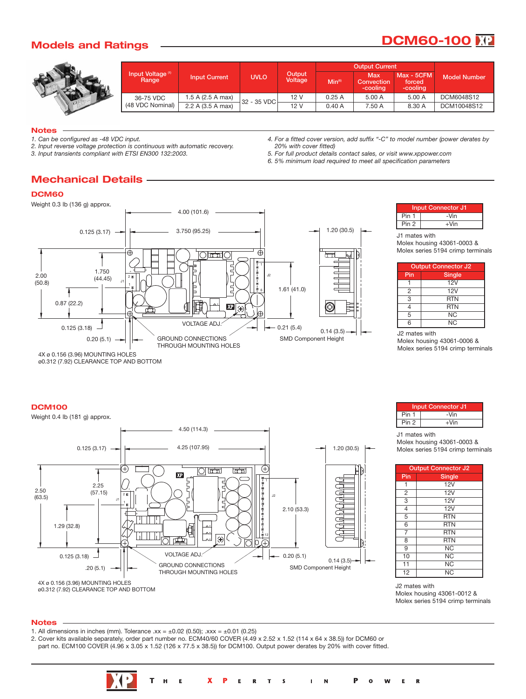# **Models and Ratings DCM60-100**



|                                       |                      |                                  |      |                    | <b>Output Current</b>                |                                  |              |
|---------------------------------------|----------------------|----------------------------------|------|--------------------|--------------------------------------|----------------------------------|--------------|
| Input Voltage <sup>(1)</sup><br>Range | <b>Input Current</b> | Output<br><b>UVLO</b><br>Voltage |      | Min <sup>(6)</sup> | Max<br><b>Convection</b><br>-cooling | Max - 5CFM<br>forced<br>-cooling | Model Number |
| 36-75 VDC                             | 1.5 A (2.5 A max)    | 32 - 35 VDC                      | 12 V | 0.25A              | 5.00 A                               | 5.00 A                           | DCM6048S12   |
| (48 VDC Nominal)                      | 2.2 A (3.5 A max)    |                                  | 12V  | 0.40A              | 7.50 A                               | 8.30 A                           | DCM10048S12  |

#### **Notes**

*1. Can be configured as -48 VDC input.*

*2. Input reverse voltage protection is continuous with automatic recovery.*

*3. Input transients compliant with ETSI EN300 132:2003.*

*4. For a fitted cover version, add suffix "-C" to model number (power derates by 20% with cover fitted)*

- *5. For full product details contact sales, or visit www.xppower.com*
- *6. 5% minimum load required to meet all specification parameters*

# **Mechanical Details**

### **DCM60**

Weight 0.3 lb (136 g) approx.





J1 mates with

Molex housing 43061-0003 & Molex series 5194 crimp terminals

| <b>Output Connector J2</b> |               |  |  |  |  |
|----------------------------|---------------|--|--|--|--|
| Pin                        | <b>Single</b> |  |  |  |  |
|                            | 12V           |  |  |  |  |
| 2                          | 12V           |  |  |  |  |
| 3                          | <b>RTN</b>    |  |  |  |  |
| 4                          | <b>RTN</b>    |  |  |  |  |
| 5                          | NC            |  |  |  |  |
| 6                          | NC            |  |  |  |  |

J2 mates with Molex housing 43061-0006 & Molex series 5194 crimp terminals

ø0.312 (7.92) CLEARANCE TOP AND BOTTOM

#### **DCM100**



|       | <b>Input Connector J1</b> |
|-------|---------------------------|
| Pin 1 | -Vin                      |
| Pin 2 | $+V$ in                   |

J1 mates with Molex housing 43061-0003 & Molex series 5194 crimp terminals

|                         | <b>Output Connector J2</b> |  |  |  |  |  |  |
|-------------------------|----------------------------|--|--|--|--|--|--|
| Pin                     | Single                     |  |  |  |  |  |  |
| 1                       | 12V                        |  |  |  |  |  |  |
| $\overline{2}$          | 12V                        |  |  |  |  |  |  |
| $\overline{3}$          | $\overline{12V}$           |  |  |  |  |  |  |
| $\overline{4}$          | 12V                        |  |  |  |  |  |  |
| $\overline{5}$          | <b>RTN</b>                 |  |  |  |  |  |  |
| $\overline{6}$          | <b>RTN</b>                 |  |  |  |  |  |  |
| 7                       | <b>RTN</b>                 |  |  |  |  |  |  |
| $\overline{\mathbf{8}}$ | <b>RTN</b>                 |  |  |  |  |  |  |
| 9                       | NC                         |  |  |  |  |  |  |
| 10                      | $N\overline{C}$            |  |  |  |  |  |  |
| 11                      | <b>NC</b>                  |  |  |  |  |  |  |
| 12                      | <b>NC</b>                  |  |  |  |  |  |  |

J2 mates with Molex housing 43061-0012 & Molex series 5194 crimp terminals

#### **Notes**

- 1. All dimensions in inches (mm). Tolerance  $xx = \pm 0.02$  (0.50);  $xxx = \pm 0.01$  (0.25)
- 2. Cover kits available separately, order part number no. ECM40/60 COVER (4.49 x 2.52 x 1.52 (114 x 64 x 38.5)) for DCM60 or part no. ECM100 COVER (4.96 x 3.05 x 1.52 (126 x 77.5 x 38.5)) for DCM100. Output power derates by 20% with cover fitted.